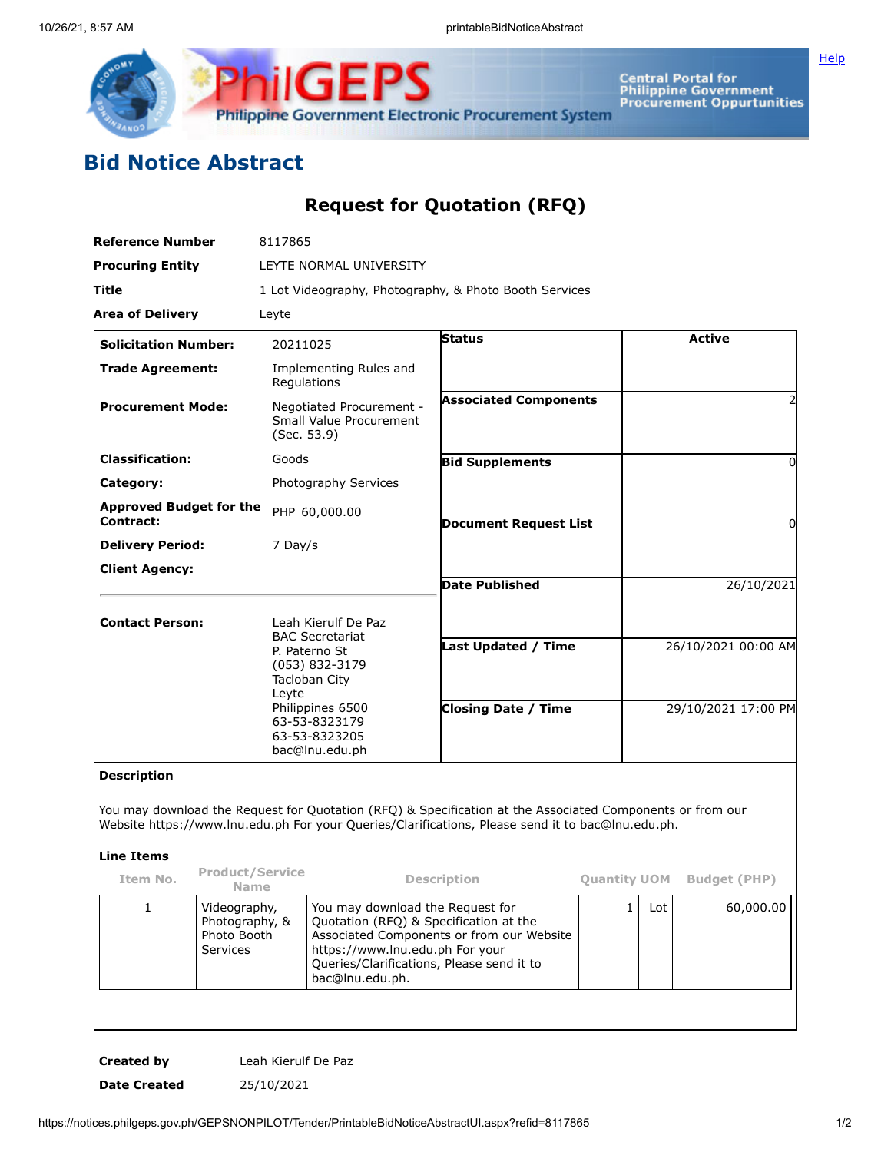

**Central Portal for<br>Philippine Government<br>Procurement Oppurtunities** 

## **Bid Notice Abstract**

**Request for Quotation (RFQ)**

**Philippine Government Electronic Procurement System** 

**ilGEPS** 

| <b>Reference Number</b>                     |                                                           | 8117865                                                                                                                                                                            |                                                                                                                                                                                                                            |                                                                                                                                                                                                                |              |                     |                                  |  |
|---------------------------------------------|-----------------------------------------------------------|------------------------------------------------------------------------------------------------------------------------------------------------------------------------------------|----------------------------------------------------------------------------------------------------------------------------------------------------------------------------------------------------------------------------|----------------------------------------------------------------------------------------------------------------------------------------------------------------------------------------------------------------|--------------|---------------------|----------------------------------|--|
| <b>Procuring Entity</b>                     |                                                           | LEYTE NORMAL UNIVERSITY                                                                                                                                                            |                                                                                                                                                                                                                            |                                                                                                                                                                                                                |              |                     |                                  |  |
| Title                                       |                                                           | 1 Lot Videography, Photography, & Photo Booth Services                                                                                                                             |                                                                                                                                                                                                                            |                                                                                                                                                                                                                |              |                     |                                  |  |
| <b>Area of Delivery</b>                     |                                                           | Leyte                                                                                                                                                                              |                                                                                                                                                                                                                            |                                                                                                                                                                                                                |              |                     |                                  |  |
| <b>Solicitation Number:</b>                 |                                                           | 20211025                                                                                                                                                                           |                                                                                                                                                                                                                            | <b>Status</b>                                                                                                                                                                                                  |              | <b>Active</b>       |                                  |  |
| <b>Trade Agreement:</b>                     |                                                           | Implementing Rules and<br>Regulations                                                                                                                                              |                                                                                                                                                                                                                            |                                                                                                                                                                                                                |              |                     |                                  |  |
| <b>Procurement Mode:</b>                    |                                                           | Negotiated Procurement -<br>Small Value Procurement<br>(Sec. 53.9)                                                                                                                 |                                                                                                                                                                                                                            | <b>Associated Components</b>                                                                                                                                                                                   |              |                     |                                  |  |
| <b>Classification:</b>                      |                                                           | Goods                                                                                                                                                                              |                                                                                                                                                                                                                            | <b>Bid Supplements</b>                                                                                                                                                                                         |              |                     | $\Omega$                         |  |
| Category:                                   |                                                           |                                                                                                                                                                                    | Photography Services                                                                                                                                                                                                       |                                                                                                                                                                                                                |              |                     |                                  |  |
| <b>Approved Budget for the</b><br>Contract: |                                                           |                                                                                                                                                                                    | PHP 60,000.00<br><b>Document Request List</b>                                                                                                                                                                              |                                                                                                                                                                                                                |              | $\Omega$            |                                  |  |
| <b>Delivery Period:</b>                     |                                                           | 7 Day/s                                                                                                                                                                            |                                                                                                                                                                                                                            |                                                                                                                                                                                                                |              |                     |                                  |  |
| <b>Client Agency:</b>                       |                                                           |                                                                                                                                                                                    |                                                                                                                                                                                                                            |                                                                                                                                                                                                                |              |                     |                                  |  |
|                                             |                                                           |                                                                                                                                                                                    |                                                                                                                                                                                                                            | <b>Date Published</b>                                                                                                                                                                                          |              | 26/10/2021          |                                  |  |
| <b>Contact Person:</b>                      |                                                           | Leah Kierulf De Paz<br><b>BAC Secretariat</b><br>P. Paterno St<br>(053) 832-3179<br>Tacloban City<br>Leyte<br>Philippines 6500<br>63-53-8323179<br>63-53-8323205<br>bac@lnu.edu.ph |                                                                                                                                                                                                                            |                                                                                                                                                                                                                |              |                     |                                  |  |
|                                             |                                                           |                                                                                                                                                                                    |                                                                                                                                                                                                                            | <b>Last Updated / Time</b>                                                                                                                                                                                     |              | 26/10/2021 00:00 AM |                                  |  |
|                                             |                                                           |                                                                                                                                                                                    |                                                                                                                                                                                                                            | <b>Closing Date / Time</b>                                                                                                                                                                                     |              | 29/10/2021 17:00 PM |                                  |  |
| <b>Description</b>                          |                                                           |                                                                                                                                                                                    |                                                                                                                                                                                                                            |                                                                                                                                                                                                                |              |                     |                                  |  |
|                                             |                                                           |                                                                                                                                                                                    |                                                                                                                                                                                                                            | You may download the Request for Quotation (RFQ) & Specification at the Associated Components or from our<br>Website https://www.lnu.edu.ph For your Queries/Clarifications, Please send it to bac@lnu.edu.ph. |              |                     |                                  |  |
| <b>Line Items</b>                           |                                                           |                                                                                                                                                                                    |                                                                                                                                                                                                                            |                                                                                                                                                                                                                |              |                     |                                  |  |
| Item No.                                    | <b>Product/Service</b><br>Name                            |                                                                                                                                                                                    | <b>Description</b>                                                                                                                                                                                                         |                                                                                                                                                                                                                |              |                     | <b>Ouantity UOM Budget (PHP)</b> |  |
| 1                                           | Videography,<br>Photography, &<br>Photo Booth<br>Services |                                                                                                                                                                                    | You may download the Request for<br>Quotation (RFQ) & Specification at the<br>Associated Components or from our Website<br>https://www.lnu.edu.ph For your<br>Queries/Clarifications, Please send it to<br>bac@lnu.edu.ph. |                                                                                                                                                                                                                | $\mathbf{1}$ | Lot                 | 60,000.00                        |  |
|                                             |                                                           |                                                                                                                                                                                    |                                                                                                                                                                                                                            |                                                                                                                                                                                                                |              |                     |                                  |  |

**Created by** Leah Kierulf De Paz **Date Created** 25/10/2021